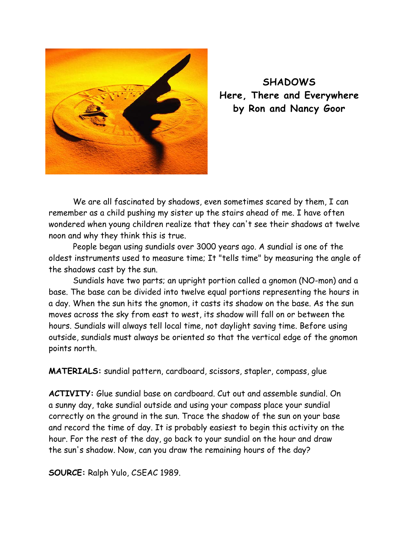

**SHADOWS Here, There and Everywhere by Ron and Nancy Goor** 

We are all fascinated by shadows, even sometimes scared by them, I can remember as a child pushing my sister up the stairs ahead of me. I have often wondered when young children realize that they can't see their shadows at twelve noon and why they think this is true.

People began using sundials over 3000 years ago. A sundial is one of the oldest instruments used to measure time; It "tells time" by measuring the angle of the shadows cast by the sun.

Sundials have two parts; an upright portion called a gnomon (NO-mon) and a base. The base can be divided into twelve equal portions representing the hours in a day. When the sun hits the gnomon, it casts its shadow on the base. As the sun moves across the sky from east to west, its shadow will fall on or between the hours. Sundials will always tell local time, not daylight saving time. Before using outside, sundials must always be oriented so that the vertical edge of the gnomon points north.

**MATERIALS:** sundial pattern, cardboard, scissors, stapler, compass, glue

**ACTIVITY:** Glue sundial base on cardboard. Cut out and assemble sundial. On a sunny day, take sundial outside and using your compass place your sundial correctly on the ground in the sun. Trace the shadow of the sun on your base and record the time of day. It is probably easiest to begin this activity on the hour. For the rest of the day, go back to your sundial on the hour and draw the sun's shadow. Now, can you draw the remaining hours of the day?

**SOURCE:** Ralph Yulo, CSEAC 1989.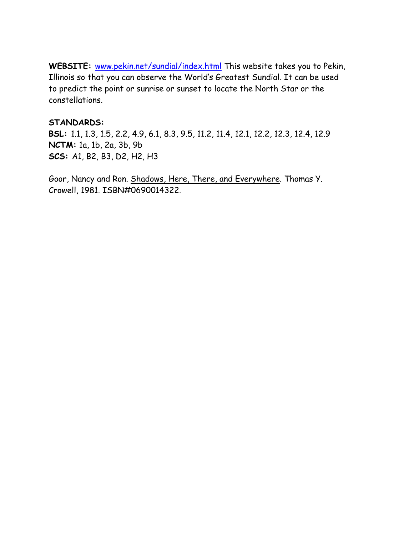WEBSITE: www.pekin.net/sundial/index.html This website takes you to Pekin, Illinois so that you can observe the World's Greatest Sundial. It can be used to predict the point or sunrise or sunset to locate the North Star or the constellations.

## **STANDARDS:**

**BSL:** 1.1, 1.3, 1.5, 2.2, 4.9, 6.1, 8.3, 9.5, 11.2, 11.4, 12.1, 12.2, 12.3, 12.4, 12.9 **NCTM:** 1a, 1b, 2a, 3b, 9b **SCS:** A1, B2, B3, D2, H2, H3

Goor, Nancy and Ron. Shadows, Here, There, and Everywhere. Thomas Y. Crowell, 1981. ISBN#0690014322.